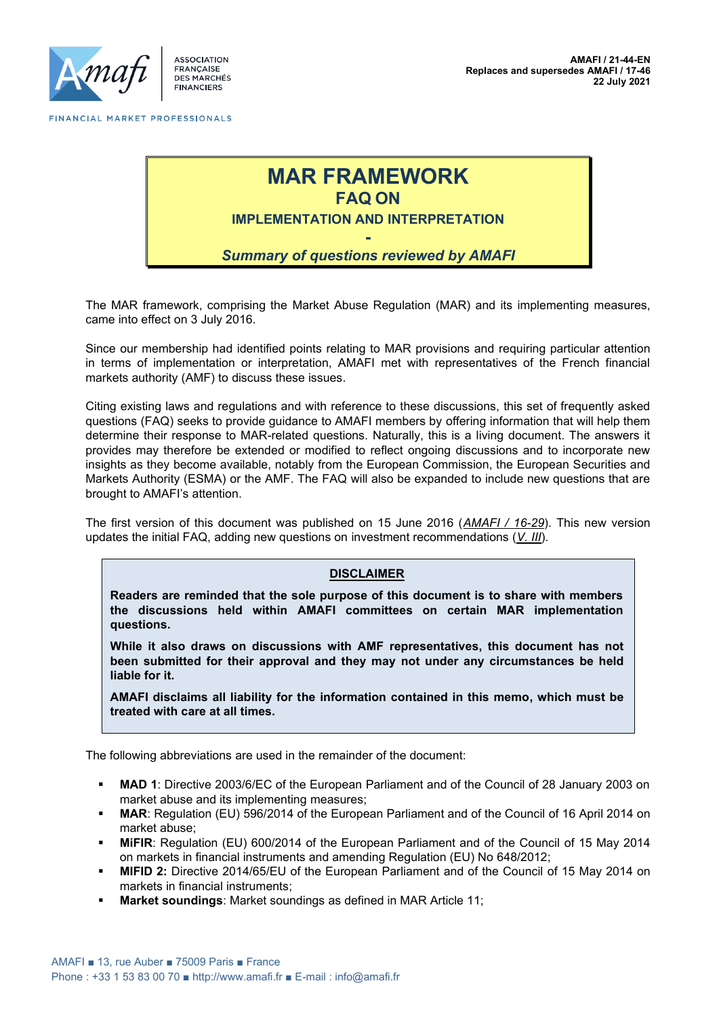

ASSOCIATION FRANÇA<mark>I</mark>SE<br>DES MARCHÉS **FINANCIERS** 



The MAR framework, comprising the Market Abuse Regulation (MAR) and its implementing measures, came into effect on 3 July 2016.

Since our membership had identified points relating to MAR provisions and requiring particular attention in terms of implementation or interpretation, AMAFI met with representatives of the French financial markets authority (AMF) to discuss these issues.

Citing existing laws and regulations and with reference to these discussions, this set of frequently asked questions (FAQ) seeks to provide guidance to AMAFI members by offering information that will help them determine their response to MAR-related questions. Naturally, this is a living document. The answers it provides may therefore be extended or modified to reflect ongoing discussions and to incorporate new insights as they become available, notably from the European Commission, the European Securities and Markets Authority (ESMA) or the AMF. The FAQ will also be expanded to include new questions that are brought to AMAFI's attention.

The first version of this document was published on 15 June 2016 (*AMAFI / 16-29*). This new version updates the initial FAQ, adding new questions on investment recommendations (*V. III*).

#### **DISCLAIMER**

**Readers are reminded that the sole purpose of this document is to share with members the discussions held within AMAFI committees on certain MAR implementation questions.**

**While it also draws on discussions with AMF representatives, this document has not been submitted for their approval and they may not under any circumstances be held liable for it.**

**AMAFI disclaims all liability for the information contained in this memo, which must be treated with care at all times.** 

The following abbreviations are used in the remainder of the document:

- **MAD 1**: Directive 2003/6/EC of the European Parliament and of the Council of 28 January 2003 on market abuse and its implementing measures;
- **MAR**: Regulation (EU) 596/2014 of the European Parliament and of the Council of 16 April 2014 on market abuse;
- **MiFIR**: Regulation (EU) 600/2014 of the European Parliament and of the Council of 15 May 2014 on markets in financial instruments and amending Regulation (EU) No 648/2012;
- **MIFID 2:** Directive 2014/65/EU of the European Parliament and of the Council of 15 May 2014 on markets in financial instruments;
- **Market soundings: Market soundings as defined in MAR Article 11;**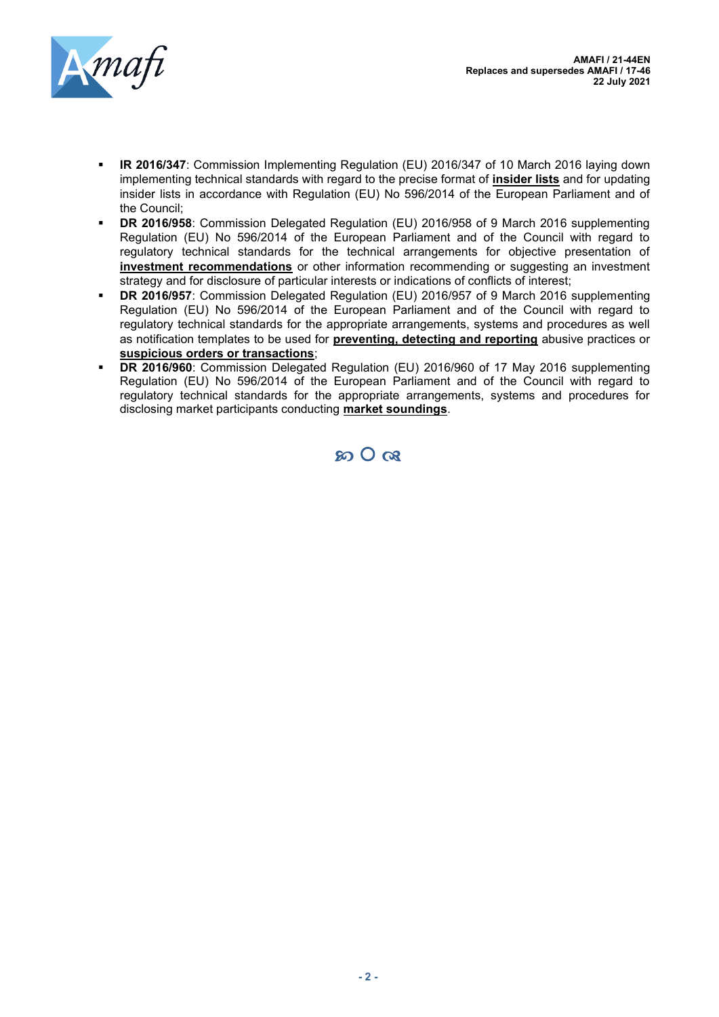

- **R 2016/347:** Commission Implementing Regulation (EU) 2016/347 of 10 March 2016 laying down implementing technical standards with regard to the precise format of **insider lists** and for updating insider lists in accordance with Regulation (EU) No 596/2014 of the European Parliament and of the Council;
- **DR 2016/958**: Commission Delegated Regulation (EU) 2016/958 of 9 March 2016 supplementing Regulation (EU) No 596/2014 of the European Parliament and of the Council with regard to regulatory technical standards for the technical arrangements for objective presentation of **investment recommendations** or other information recommending or suggesting an investment strategy and for disclosure of particular interests or indications of conflicts of interest;
- **DR 2016/957:** Commission Delegated Regulation (EU) 2016/957 of 9 March 2016 supplementing Regulation (EU) No 596/2014 of the European Parliament and of the Council with regard to regulatory technical standards for the appropriate arrangements, systems and procedures as well as notification templates to be used for **preventing, detecting and reporting** abusive practices or **suspicious orders or transactions**;
- **DR 2016/960**: Commission Delegated Regulation (EU) 2016/960 of 17 May 2016 supplementing Regulation (EU) No 596/2014 of the European Parliament and of the Council with regard to regulatory technical standards for the appropriate arrangements, systems and procedures for disclosing market participants conducting **market soundings**.

 $SO_2$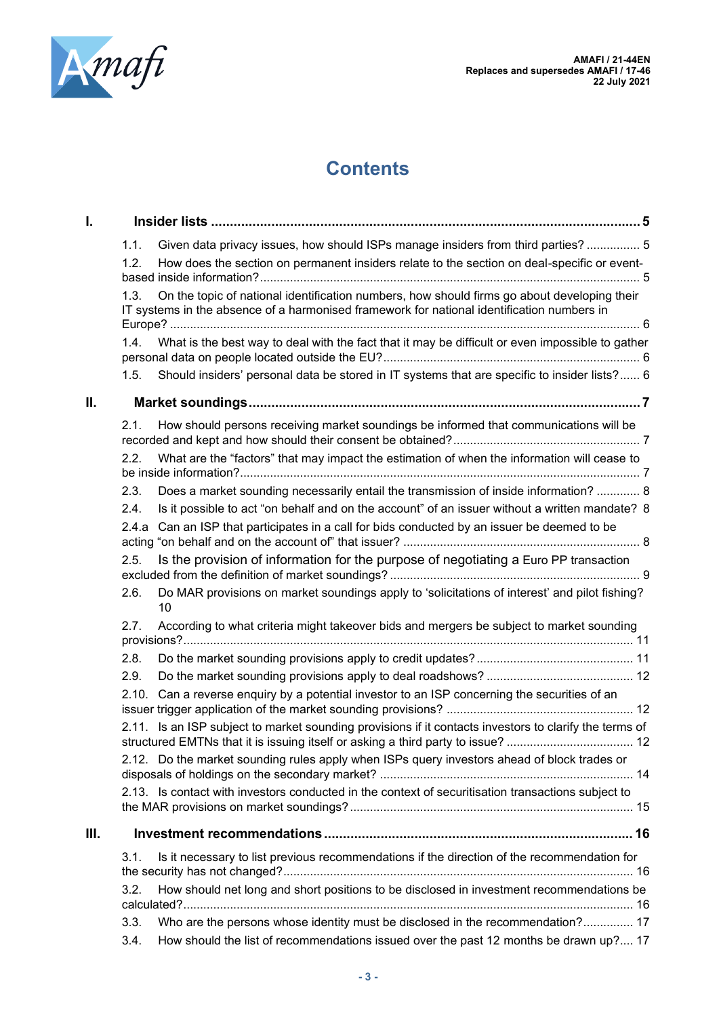

**AMAFI / 21-44EN Replaces and supersedes AMAFI / 17-46 22 July 2021**

# **Contents**

| I.   |      |                                                                                                                                                                                           |  |
|------|------|-------------------------------------------------------------------------------------------------------------------------------------------------------------------------------------------|--|
|      | 1.1. | Given data privacy issues, how should ISPs manage insiders from third parties?  5                                                                                                         |  |
|      | 1.2. | How does the section on permanent insiders relate to the section on deal-specific or event-                                                                                               |  |
|      | 1.3. | On the topic of national identification numbers, how should firms go about developing their<br>IT systems in the absence of a harmonised framework for national identification numbers in |  |
|      |      | 1.4. What is the best way to deal with the fact that it may be difficult or even impossible to gather                                                                                     |  |
|      | 1.5. | Should insiders' personal data be stored in IT systems that are specific to insider lists? 6                                                                                              |  |
| Ш.   |      |                                                                                                                                                                                           |  |
|      | 2.1. | How should persons receiving market soundings be informed that communications will be                                                                                                     |  |
|      | 2.2. | What are the "factors" that may impact the estimation of when the information will cease to                                                                                               |  |
|      | 2.3. | Does a market sounding necessarily entail the transmission of inside information?  8                                                                                                      |  |
|      | 2.4. | Is it possible to act "on behalf and on the account" of an issuer without a written mandate? 8                                                                                            |  |
|      |      | 2.4.a Can an ISP that participates in a call for bids conducted by an issuer be deemed to be                                                                                              |  |
|      | 2.5. | Is the provision of information for the purpose of negotiating a Euro PP transaction                                                                                                      |  |
|      | 2.6. | Do MAR provisions on market soundings apply to 'solicitations of interest' and pilot fishing?<br>10                                                                                       |  |
|      | 2.7. | According to what criteria might takeover bids and mergers be subject to market sounding                                                                                                  |  |
|      | 2.8. |                                                                                                                                                                                           |  |
|      | 2.9. |                                                                                                                                                                                           |  |
|      |      | 2.10. Can a reverse enquiry by a potential investor to an ISP concerning the securities of an                                                                                             |  |
|      |      | 2.11. Is an ISP subject to market sounding provisions if it contacts investors to clarify the terms of                                                                                    |  |
|      |      | 2.12. Do the market sounding rules apply when ISPs query investors ahead of block trades or                                                                                               |  |
|      |      | 2.13. Is contact with investors conducted in the context of securitisation transactions subject to                                                                                        |  |
| III. |      |                                                                                                                                                                                           |  |
|      | 3.1. | Is it necessary to list previous recommendations if the direction of the recommendation for                                                                                               |  |
|      |      |                                                                                                                                                                                           |  |
|      | 3.2. | How should net long and short positions to be disclosed in investment recommendations be                                                                                                  |  |
|      | 3.3. | Who are the persons whose identity must be disclosed in the recommendation? 17                                                                                                            |  |
|      | 3.4. | How should the list of recommendations issued over the past 12 months be drawn up? 17                                                                                                     |  |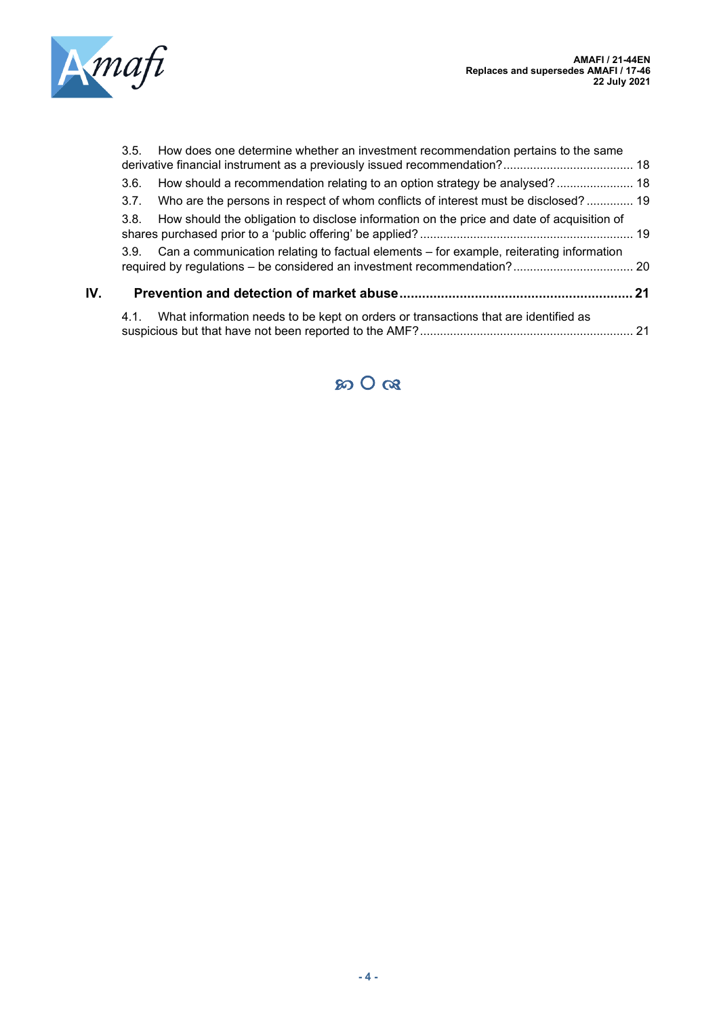

|     | 3.5. | How does one determine whether an investment recommendation pertains to the same             |  |
|-----|------|----------------------------------------------------------------------------------------------|--|
|     | 3.6. | How should a recommendation relating to an option strategy be analysed? 18                   |  |
|     | 3.7. | Who are the persons in respect of whom conflicts of interest must be disclosed? 19           |  |
|     | 3.8. | How should the obligation to disclose information on the price and date of acquisition of    |  |
|     |      | 3.9. Can a communication relating to factual elements - for example, reiterating information |  |
| IV. |      |                                                                                              |  |
|     | 4.1. | What information needs to be kept on orders or transactions that are identified as           |  |

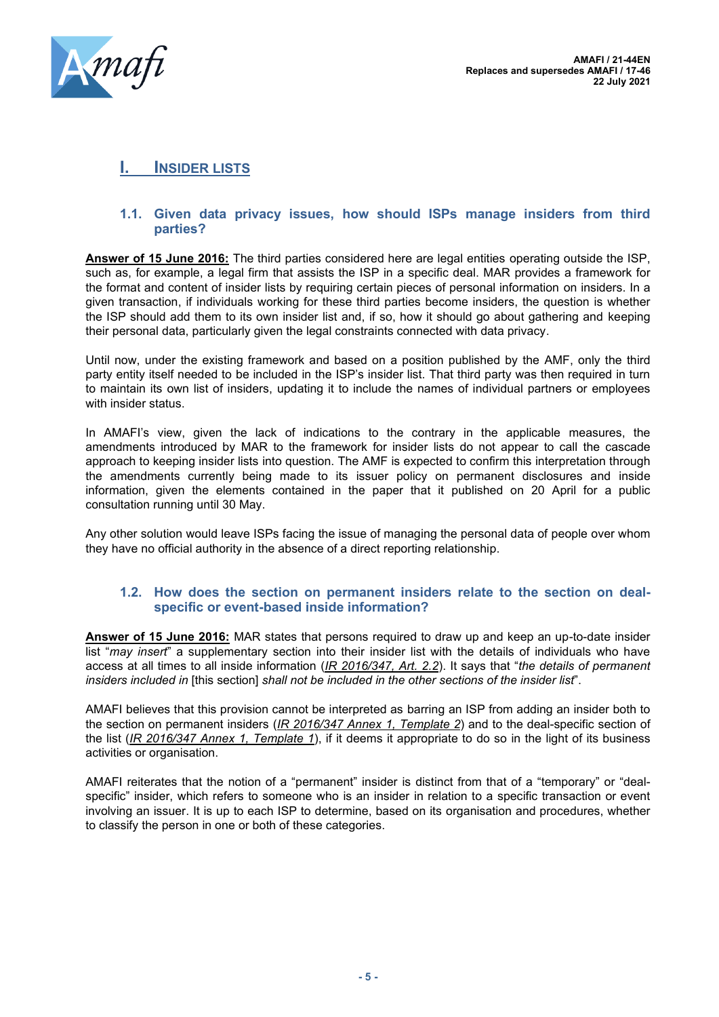

# <span id="page-4-0"></span>**I. INSIDER LISTS**

#### <span id="page-4-1"></span>**1.1. Given data privacy issues, how should ISPs manage insiders from third parties?**

**Answer of 15 June 2016:** The third parties considered here are legal entities operating outside the ISP, such as, for example, a legal firm that assists the ISP in a specific deal. MAR provides a framework for the format and content of insider lists by requiring certain pieces of personal information on insiders. In a given transaction, if individuals working for these third parties become insiders, the question is whether the ISP should add them to its own insider list and, if so, how it should go about gathering and keeping their personal data, particularly given the legal constraints connected with data privacy.

Until now, under the existing framework and based on a position published by the AMF, only the third party entity itself needed to be included in the ISP's insider list. That third party was then required in turn to maintain its own list of insiders, updating it to include the names of individual partners or employees with insider status.

In AMAFI's view, given the lack of indications to the contrary in the applicable measures, the amendments introduced by MAR to the framework for insider lists do not appear to call the cascade approach to keeping insider lists into question. The AMF is expected to confirm this interpretation through the amendments currently being made to its issuer policy on permanent disclosures and inside information, given the elements contained in the paper that it published on 20 April for a public consultation running until 30 May.

Any other solution would leave ISPs facing the issue of managing the personal data of people over whom they have no official authority in the absence of a direct reporting relationship.

#### <span id="page-4-2"></span>**1.2. How does the section on permanent insiders relate to the section on dealspecific or event-based inside information?**

**Answer of 15 June 2016:** MAR states that persons required to draw up and keep an up-to-date insider list "*may insert*" a supplementary section into their insider list with the details of individuals who have access at all times to all inside information (*IR 2016/347, Art. 2.2*). It says that "*the details of permanent insiders included in* [this section] *shall not be included in the other sections of the insider list*".

AMAFI believes that this provision cannot be interpreted as barring an ISP from adding an insider both to the section on permanent insiders (*IR 2016/347 Annex 1, Template 2*) and to the deal-specific section of the list (*IR 2016/347 Annex 1, Template 1*), if it deems it appropriate to do so in the light of its business activities or organisation.

AMAFI reiterates that the notion of a "permanent" insider is distinct from that of a "temporary" or "dealspecific" insider, which refers to someone who is an insider in relation to a specific transaction or event involving an issuer. It is up to each ISP to determine, based on its organisation and procedures, whether to classify the person in one or both of these categories.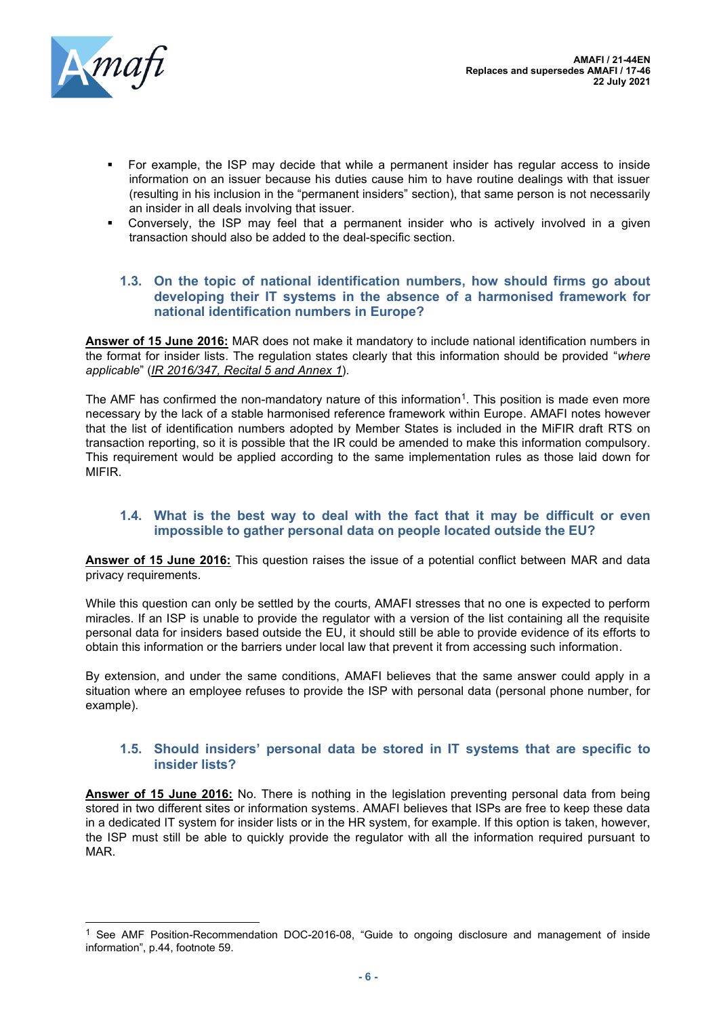

- For example, the ISP may decide that while a permanent insider has regular access to inside information on an issuer because his duties cause him to have routine dealings with that issuer (resulting in his inclusion in the "permanent insiders" section), that same person is not necessarily an insider in all deals involving that issuer.
- Conversely, the ISP may feel that a permanent insider who is actively involved in a given transaction should also be added to the deal-specific section.

#### <span id="page-5-0"></span>**1.3. On the topic of national identification numbers, how should firms go about developing their IT systems in the absence of a harmonised framework for national identification numbers in Europe?**

**Answer of 15 June 2016:** MAR does not make it mandatory to include national identification numbers in the format for insider lists. The regulation states clearly that this information should be provided "*where applicable*" (*IR 2016/347, Recital 5 and Annex 1*).

The AMF has confirmed the non-mandatory nature of this information<sup>1</sup>. This position is made even more necessary by the lack of a stable harmonised reference framework within Europe. AMAFI notes however that the list of identification numbers adopted by Member States is included in the MiFIR draft RTS on transaction reporting, so it is possible that the IR could be amended to make this information compulsory. This requirement would be applied according to the same implementation rules as those laid down for MIFIR.

#### <span id="page-5-1"></span>**1.4. What is the best way to deal with the fact that it may be difficult or even impossible to gather personal data on people located outside the EU?**

**Answer of 15 June 2016:** This question raises the issue of a potential conflict between MAR and data privacy requirements.

While this question can only be settled by the courts. AMAFI stresses that no one is expected to perform miracles. If an ISP is unable to provide the regulator with a version of the list containing all the requisite personal data for insiders based outside the EU, it should still be able to provide evidence of its efforts to obtain this information or the barriers under local law that prevent it from accessing such information.

By extension, and under the same conditions, AMAFI believes that the same answer could apply in a situation where an employee refuses to provide the ISP with personal data (personal phone number, for example).

#### <span id="page-5-2"></span>**1.5. Should insiders' personal data be stored in IT systems that are specific to insider lists?**

**Answer of 15 June 2016:** No. There is nothing in the legislation preventing personal data from being stored in two different sites or information systems. AMAFI believes that ISPs are free to keep these data in a dedicated IT system for insider lists or in the HR system, for example. If this option is taken, however, the ISP must still be able to quickly provide the regulator with all the information required pursuant to MAR.

<sup>&</sup>lt;sup>1</sup> See AMF Position-Recommendation DOC-2016-08, "Guide to ongoing disclosure and management of inside information", p.44, footnote 59.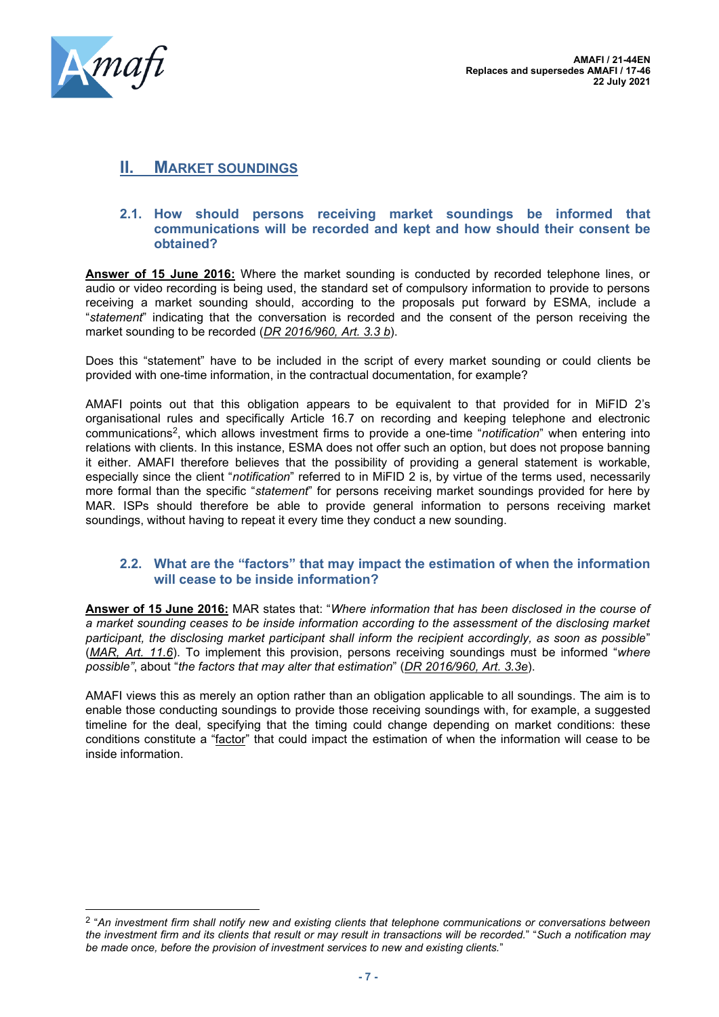

# <span id="page-6-0"></span>**II. MARKET SOUNDINGS**

#### <span id="page-6-1"></span>**2.1. How should persons receiving market soundings be informed that communications will be recorded and kept and how should their consent be obtained?**

**Answer of 15 June 2016:** Where the market sounding is conducted by recorded telephone lines, or audio or video recording is being used, the standard set of compulsory information to provide to persons receiving a market sounding should, according to the proposals put forward by ESMA, include a "*statement*" indicating that the conversation is recorded and the consent of the person receiving the market sounding to be recorded (*DR 2016/960, Art. 3.3 b*).

Does this "statement" have to be included in the script of every market sounding or could clients be provided with one-time information, in the contractual documentation, for example?

AMAFI points out that this obligation appears to be equivalent to that provided for in MiFID 2's organisational rules and specifically Article 16.7 on recording and keeping telephone and electronic communications<sup>2</sup> , which allows investment firms to provide a one-time "*notification*" when entering into relations with clients. In this instance, ESMA does not offer such an option, but does not propose banning it either. AMAFI therefore believes that the possibility of providing a general statement is workable, especially since the client "*notification*" referred to in MiFID 2 is, by virtue of the terms used, necessarily more formal than the specific "*statement*" for persons receiving market soundings provided for here by MAR. ISPs should therefore be able to provide general information to persons receiving market soundings, without having to repeat it every time they conduct a new sounding.

#### <span id="page-6-2"></span>**2.2. What are the "factors" that may impact the estimation of when the information will cease to be inside information?**

**Answer of 15 June 2016:** MAR states that: "*Where information that has been disclosed in the course of a market sounding ceases to be inside information according to the assessment of the disclosing market participant, the disclosing market participant shall inform the recipient accordingly, as soon as possible*" (*MAR, Art. 11.6*). To implement this provision, persons receiving soundings must be informed "*where possible"*, about "*the factors that may alter that estimation*" (*DR 2016/960, Art. 3.3e*).

AMAFI views this as merely an option rather than an obligation applicable to all soundings. The aim is to enable those conducting soundings to provide those receiving soundings with, for example, a suggested timeline for the deal, specifying that the timing could change depending on market conditions: these conditions constitute a "factor" that could impact the estimation of when the information will cease to be inside information.

<sup>2</sup> "*An investment firm shall notify new and existing clients that telephone communications or conversations between the investment firm and its clients that result or may result in transactions will be recorded.*" "*Such a notification may be made once, before the provision of investment services to new and existing clients.*"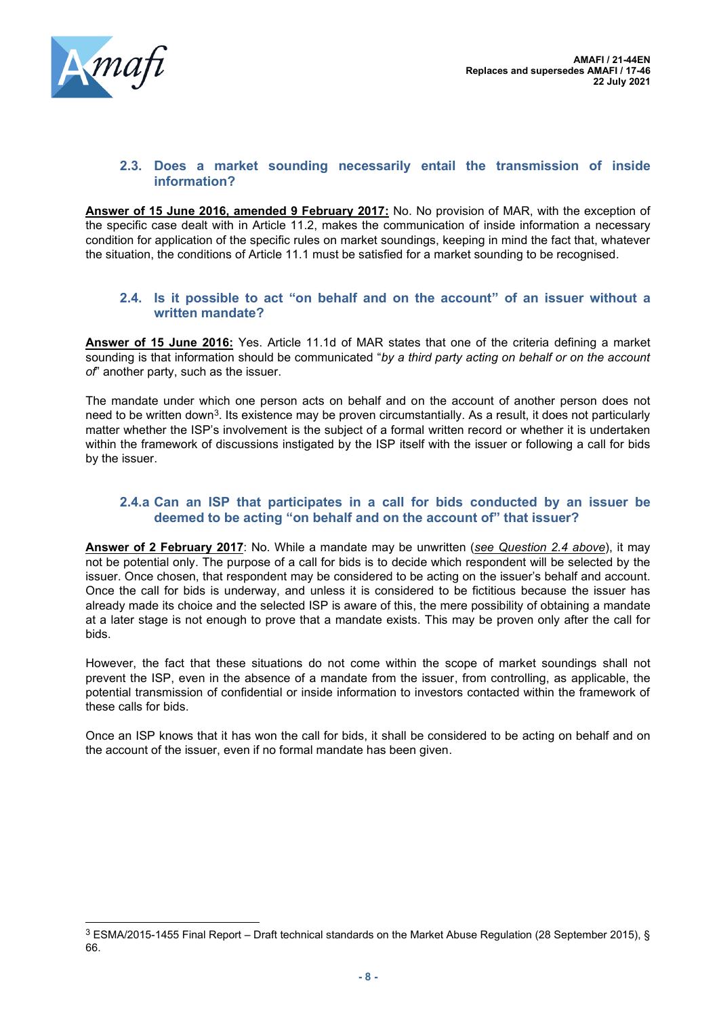

#### <span id="page-7-0"></span>**2.3. Does a market sounding necessarily entail the transmission of inside information?**

**Answer of 15 June 2016, amended 9 February 2017:** No. No provision of MAR, with the exception of the specific case dealt with in Article 11.2, makes the communication of inside information a necessary condition for application of the specific rules on market soundings, keeping in mind the fact that, whatever the situation, the conditions of Article 11.1 must be satisfied for a market sounding to be recognised.

#### <span id="page-7-1"></span>**2.4. Is it possible to act "on behalf and on the account" of an issuer without a written mandate?**

**Answer of 15 June 2016:** Yes. Article 11.1d of MAR states that one of the criteria defining a market sounding is that information should be communicated "*by a third party acting on behalf or on the account of*" another party, such as the issuer.

The mandate under which one person acts on behalf and on the account of another person does not need to be written down<sup>3</sup>. Its existence may be proven circumstantially. As a result, it does not particularly matter whether the ISP's involvement is the subject of a formal written record or whether it is undertaken within the framework of discussions instigated by the ISP itself with the issuer or following a call for bids by the issuer.

## <span id="page-7-2"></span>**2.4.a Can an ISP that participates in a call for bids conducted by an issuer be deemed to be acting "on behalf and on the account of" that issuer?**

**Answer of 2 February 2017**: No. While a mandate may be unwritten (*see Question 2.4 above*), it may not be potential only. The purpose of a call for bids is to decide which respondent will be selected by the issuer. Once chosen, that respondent may be considered to be acting on the issuer's behalf and account. Once the call for bids is underway, and unless it is considered to be fictitious because the issuer has already made its choice and the selected ISP is aware of this, the mere possibility of obtaining a mandate at a later stage is not enough to prove that a mandate exists. This may be proven only after the call for bids.

However, the fact that these situations do not come within the scope of market soundings shall not prevent the ISP, even in the absence of a mandate from the issuer, from controlling, as applicable, the potential transmission of confidential or inside information to investors contacted within the framework of these calls for bids.

Once an ISP knows that it has won the call for bids, it shall be considered to be acting on behalf and on the account of the issuer, even if no formal mandate has been given.

<sup>3</sup> ESMA/2015-1455 Final Report – Draft technical standards on the Market Abuse Regulation (28 September 2015), § 66.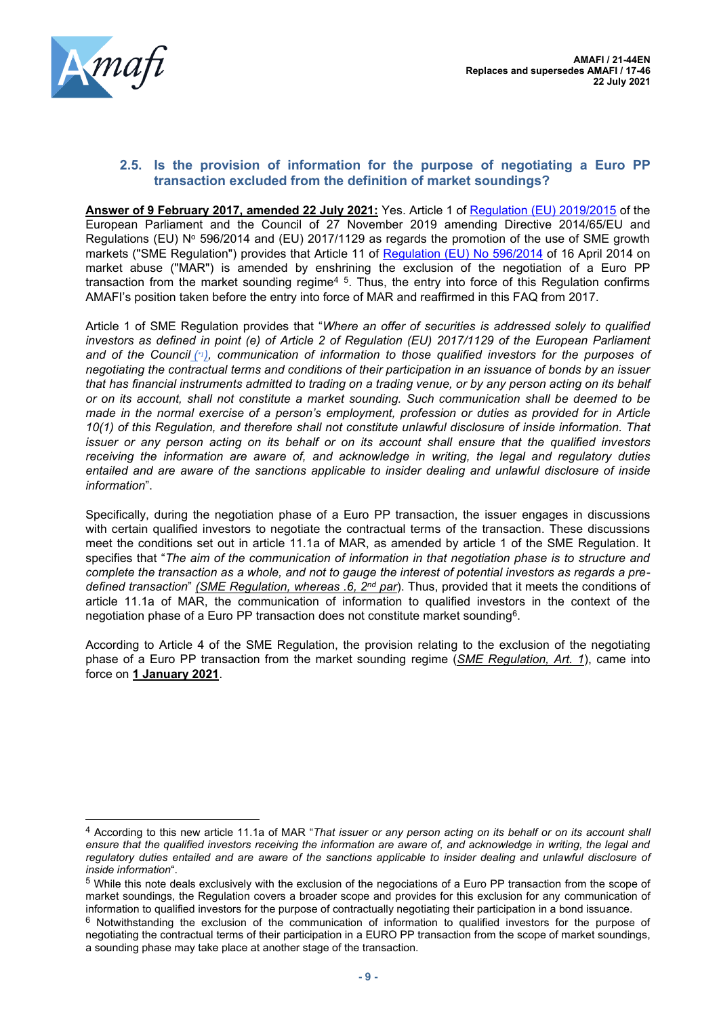

## <span id="page-8-0"></span>**2.5. Is the provision of information for the purpose of negotiating a Euro PP transaction excluded from the definition of market soundings?**

**Answer of 9 February 2017, amended 22 July 2021:** Yes. Article 1 of [Regulation \(EU\) 2019/2015](https://eur-lex.europa.eu/legal-content/FR/TXT/?uri=CELEX%3A32019R2115) of the European Parliament and the Council of 27 November 2019 amending Directive 2014/65/EU and Regulations (EU)  $N^{\circ}$  596/2014 and (EU) 2017/1129 as regards the promotion of the use of SME growth markets ("SME Regulation") provides that Article 11 of [Regulation \(EU\) No 596/2014](https://eur-lex.europa.eu/legal-content/fr/ALL/?uri=CELEX%3A32014R0596) of 16 April 2014 on market abuse ("MAR") is amended by enshrining the exclusion of the negotiation of a Euro PP transaction from the market sounding regime<sup>45</sup>. Thus, the entry into force of this Regulation confirms AMAFI's position taken before the entry into force of MAR and reaffirmed in this FAQ from 2017.

Article 1 of SME Regulation provides that "*Where an offer of securities is addressed solely to qualified investors as defined in point (e) of Article 2 of Regulation (EU) 2017/1129 of the European Parliament and of the Council ( \*1[\),](https://eur-lex.europa.eu/legal-content/EN/TXT/HTML/?uri=CELEX:32019R2115&from=FR#ntr*1-L_2019320EN.01000101-E0010) communication of information to those qualified investors for the purposes of negotiating the contractual terms and conditions of their participation in an issuance of bonds by an issuer that has financial instruments admitted to trading on a trading venue, or by any person acting on its behalf or on its account, shall not constitute a market sounding. Such communication shall be deemed to be made in the normal exercise of a person's employment, profession or duties as provided for in Article 10(1) of this Regulation, and therefore shall not constitute unlawful disclosure of inside information. That issuer or any person acting on its behalf or on its account shall ensure that the qualified investors receiving the information are aware of, and acknowledge in writing, the legal and regulatory duties entailed and are aware of the sanctions applicable to insider dealing and unlawful disclosure of inside information*".

Specifically, during the negotiation phase of a Euro PP transaction, the issuer engages in discussions with certain qualified investors to negotiate the contractual terms of the transaction. These discussions meet the conditions set out in article 11.1a of MAR, as amended by article 1 of the SME Regulation. It specifies that "*The aim of the communication of information in that negotiation phase is to structure and complete the transaction as a whole, and not to gauge the interest of potential investors as regards a predefined transaction*" *(SME Regulation, whereas .6, 2nd par*). Thus, provided that it meets the conditions of article 11.1a of MAR, the communication of information to qualified investors in the context of the negotiation phase of a Euro PP transaction does not constitute market sounding<sup>6</sup>.

According to Article 4 of the SME Regulation, the provision relating to the exclusion of the negotiating phase of a Euro PP transaction from the market sounding regime (*SME Regulation, Art. 1*), came into force on **1 January 2021**.

<sup>4</sup> According to this new article 11.1a of MAR "*That issuer or any person acting on its behalf or on its account shall ensure that the qualified investors receiving the information are aware of, and acknowledge in writing, the legal and*  regulatory duties entailed and are aware of the sanctions applicable to insider dealing and unlawful disclosure of *inside information*".

<sup>5</sup> While this note deals exclusively with the exclusion of the negociations of a Euro PP transaction from the scope of market soundings, the Regulation covers a broader scope and provides for this exclusion for any communication of information to qualified investors for the purpose of contractually negotiating their participation in a bond issuance.

<sup>6</sup> Notwithstanding the exclusion of the communication of information to qualified investors for the purpose of negotiating the contractual terms of their participation in a EURO PP transaction from the scope of market soundings, a sounding phase may take place at another stage of the transaction.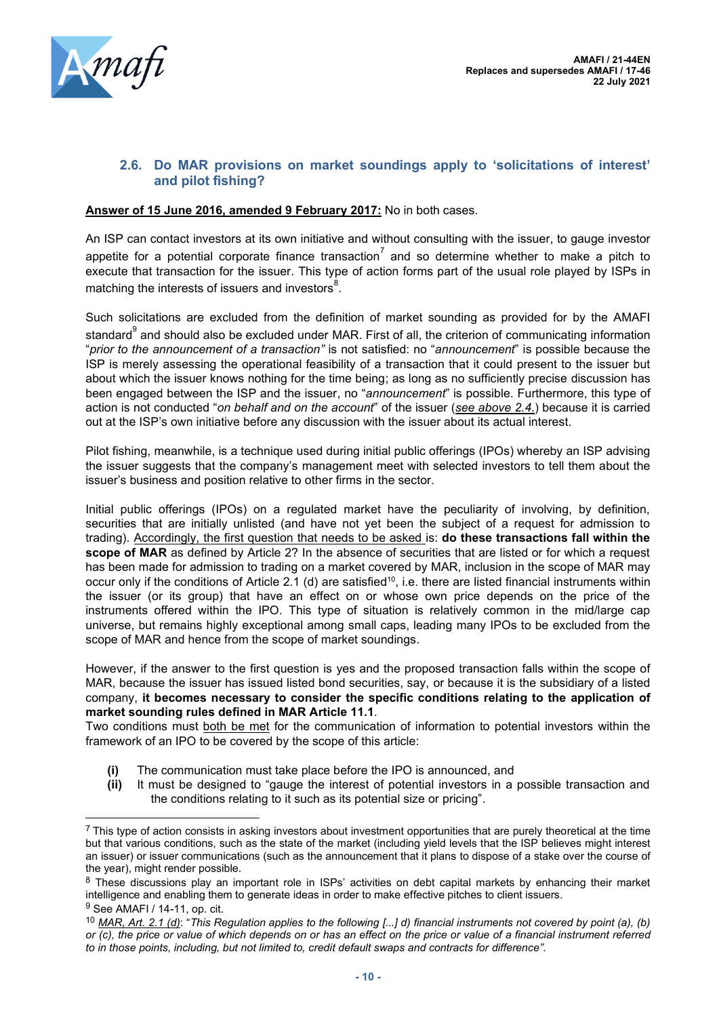

## <span id="page-9-0"></span>**2.6. Do MAR provisions on market soundings apply to 'solicitations of interest' and pilot fishing?**

#### **Answer of 15 June 2016, amended 9 February 2017:** No in both cases.

An ISP can contact investors at its own initiative and without consulting with the issuer, to gauge investor appetite for a potential corporate finance transaction $^7$  and so determine whether to make a pitch to execute that transaction for the issuer. This type of action forms part of the usual role played by ISPs in matching the interests of issuers and investors $^8\!\!$  .

Such solicitations are excluded from the definition of market sounding as provided for by the AMAFI standard $^9$  and should also be excluded under MAR. First of all, the criterion of communicating information "*prior to the announcement of a transaction"* is not satisfied: no "*announcement*" is possible because the ISP is merely assessing the operational feasibility of a transaction that it could present to the issuer but about which the issuer knows nothing for the time being; as long as no sufficiently precise discussion has been engaged between the ISP and the issuer, no "*announcement*" is possible. Furthermore, this type of action is not conducted "*on behalf and on the account*" of the issuer (*see above 2.4.*) because it is carried out at the ISP's own initiative before any discussion with the issuer about its actual interest.

Pilot fishing, meanwhile, is a technique used during initial public offerings (IPOs) whereby an ISP advising the issuer suggests that the company's management meet with selected investors to tell them about the issuer's business and position relative to other firms in the sector.

Initial public offerings (IPOs) on a regulated market have the peculiarity of involving, by definition, securities that are initially unlisted (and have not yet been the subject of a request for admission to trading). Accordingly, the first question that needs to be asked is: **do these transactions fall within the scope of MAR** as defined by Article 2? In the absence of securities that are listed or for which a request has been made for admission to trading on a market covered by MAR, inclusion in the scope of MAR may occur only if the conditions of Article 2.1 (d) are satisfied<sup>10</sup>, i.e. there are listed financial instruments within the issuer (or its group) that have an effect on or whose own price depends on the price of the instruments offered within the IPO. This type of situation is relatively common in the mid/large cap universe, but remains highly exceptional among small caps, leading many IPOs to be excluded from the scope of MAR and hence from the scope of market soundings.

However, if the answer to the first question is yes and the proposed transaction falls within the scope of MAR, because the issuer has issued listed bond securities, say, or because it is the subsidiary of a listed company, **it becomes necessary to consider the specific conditions relating to the application of market sounding rules defined in MAR Article 11.1**.

Two conditions must both be met for the communication of information to potential investors within the framework of an IPO to be covered by the scope of this article:

- **(i)** The communication must take place before the IPO is announced, and
- **(ii)** It must be designed to "gauge the interest of potential investors in a possible transaction and the conditions relating to it such as its potential size or pricing".

 $<sup>7</sup>$  This type of action consists in asking investors about investment opportunities that are purely theoretical at the time</sup> but that various conditions, such as the state of the market (including yield levels that the ISP believes might interest an issuer) or issuer communications (such as the announcement that it plans to dispose of a stake over the course of the year), might render possible.

<sup>8</sup> These discussions play an important role in ISPs' activities on debt capital markets by enhancing their market intelligence and enabling them to generate ideas in order to make effective pitches to client issuers. <sup>9</sup> See AMAFI / 14-11, op. cit.

<sup>10</sup> *MAR, Art. 2.1 (d)*: "*This Regulation applies to the following [...] d) financial instruments not covered by point (a), (b) or (c), the price or value of which depends on or has an effect on the price or value of a financial instrument referred to in those points, including, but not limited to, credit default swaps and contracts for difference"*.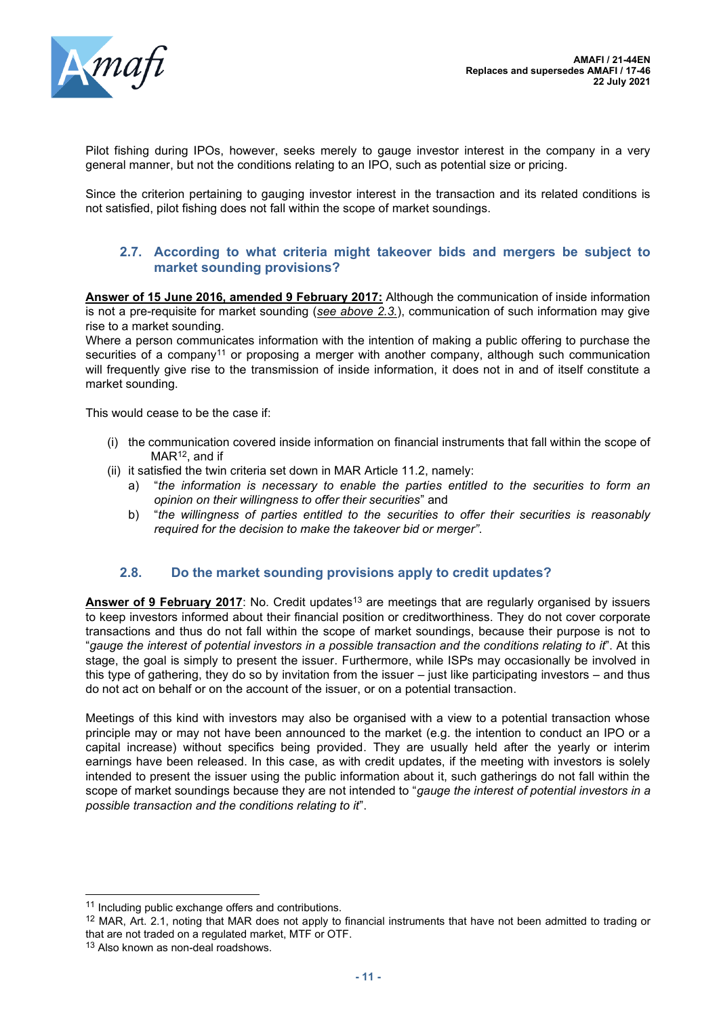

Pilot fishing during IPOs, however, seeks merely to gauge investor interest in the company in a very general manner, but not the conditions relating to an IPO, such as potential size or pricing.

Since the criterion pertaining to gauging investor interest in the transaction and its related conditions is not satisfied, pilot fishing does not fall within the scope of market soundings.

#### <span id="page-10-0"></span>**2.7. According to what criteria might takeover bids and mergers be subject to market sounding provisions?**

**Answer of 15 June 2016, amended 9 February 2017:** Although the communication of inside information is not a pre-requisite for market sounding (*see above 2.3.*), communication of such information may give rise to a market sounding.

Where a person communicates information with the intention of making a public offering to purchase the securities of a company<sup>11</sup> or proposing a merger with another company, although such communication will frequently give rise to the transmission of inside information, it does not in and of itself constitute a market sounding.

This would cease to be the case if:

- (i) the communication covered inside information on financial instruments that fall within the scope of MAR<sup>12</sup>, and if
- (ii) it satisfied the twin criteria set down in MAR Article 11.2, namely:
	- a) "*the information is necessary to enable the parties entitled to the securities to form an opinion on their willingness to offer their securities*" and
	- b) "*the willingness of parties entitled to the securities to offer their securities is reasonably required for the decision to make the takeover bid or merger"*.

## **2.8. Do the market sounding provisions apply to credit updates?**

<span id="page-10-1"></span>**Answer of 9 February 2017**: No. Credit updates<sup>13</sup> are meetings that are regularly organised by issuers to keep investors informed about their financial position or creditworthiness. They do not cover corporate transactions and thus do not fall within the scope of market soundings, because their purpose is not to "*gauge the interest of potential investors in a possible transaction and the conditions relating to it*". At this stage, the goal is simply to present the issuer. Furthermore, while ISPs may occasionally be involved in this type of gathering, they do so by invitation from the issuer – just like participating investors – and thus do not act on behalf or on the account of the issuer, or on a potential transaction.

Meetings of this kind with investors may also be organised with a view to a potential transaction whose principle may or may not have been announced to the market (e.g. the intention to conduct an IPO or a capital increase) without specifics being provided. They are usually held after the yearly or interim earnings have been released. In this case, as with credit updates, if the meeting with investors is solely intended to present the issuer using the public information about it, such gatherings do not fall within the scope of market soundings because they are not intended to "*gauge the interest of potential investors in a possible transaction and the conditions relating to it*".

<span id="page-10-2"></span><sup>&</sup>lt;sup>11</sup> Including public exchange offers and contributions.

<sup>&</sup>lt;sup>12</sup> MAR, Art. 2.1, noting that MAR does not apply to financial instruments that have not been admitted to trading or that are not traded on a regulated market, MTF or OTF.

<sup>13</sup> Also known as non-deal roadshows.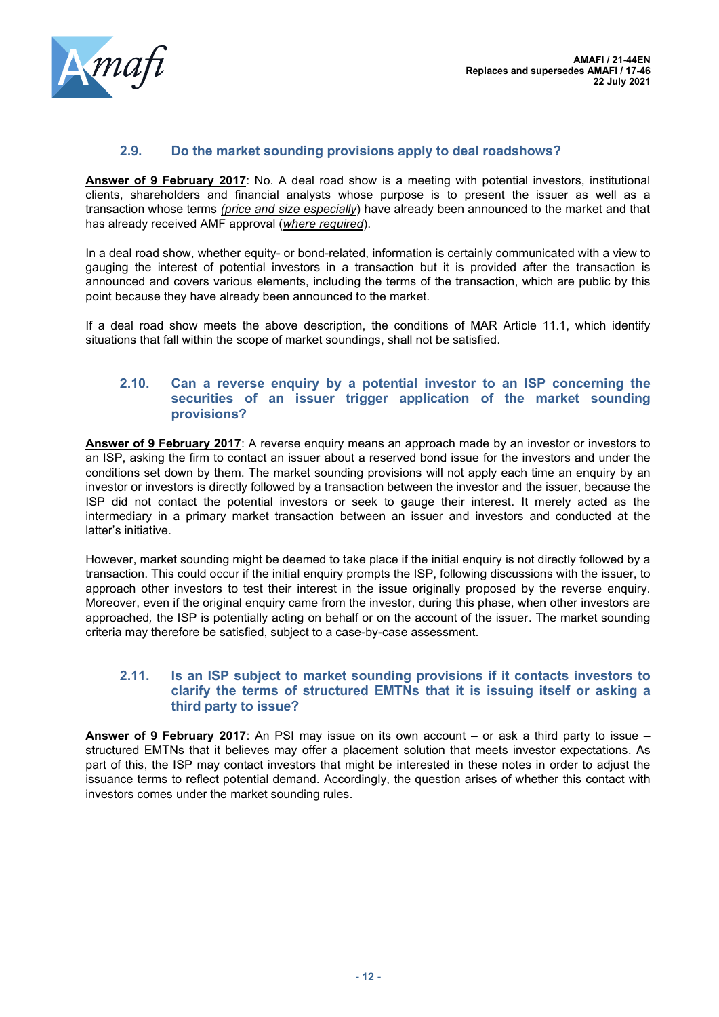

#### **2.9. Do the market sounding provisions apply to deal roadshows?**

**Answer of 9 February 2017**: No. A deal road show is a meeting with potential investors, institutional clients, shareholders and financial analysts whose purpose is to present the issuer as well as a transaction whose terms *(price and size especially*) have already been announced to the market and that has already received AMF approval (*where required*).

In a deal road show, whether equity- or bond-related, information is certainly communicated with a view to gauging the interest of potential investors in a transaction but it is provided after the transaction is announced and covers various elements, including the terms of the transaction, which are public by this point because they have already been announced to the market.

If a deal road show meets the above description, the conditions of MAR Article 11.1, which identify situations that fall within the scope of market soundings, shall not be satisfied.

#### <span id="page-11-0"></span>**2.10. Can a reverse enquiry by a potential investor to an ISP concerning the securities of an issuer trigger application of the market sounding provisions?**

**Answer of 9 February 2017**: A reverse enquiry means an approach made by an investor or investors to an ISP, asking the firm to contact an issuer about a reserved bond issue for the investors and under the conditions set down by them. The market sounding provisions will not apply each time an enquiry by an investor or investors is directly followed by a transaction between the investor and the issuer, because the ISP did not contact the potential investors or seek to gauge their interest. It merely acted as the intermediary in a primary market transaction between an issuer and investors and conducted at the latter's initiative.

However, market sounding might be deemed to take place if the initial enquiry is not directly followed by a transaction. This could occur if the initial enquiry prompts the ISP, following discussions with the issuer, to approach other investors to test their interest in the issue originally proposed by the reverse enquiry. Moreover, even if the original enquiry came from the investor, during this phase, when other investors are approached*,* the ISP is potentially acting on behalf or on the account of the issuer. The market sounding criteria may therefore be satisfied, subject to a case-by-case assessment.

#### <span id="page-11-1"></span>**2.11. Is an ISP subject to market sounding provisions if it contacts investors to clarify the terms of structured EMTNs that it is issuing itself or asking a third party to issue?**

**Answer of 9 February 2017:** An PSI may issue on its own account – or ask a third party to issue – structured EMTNs that it believes may offer a placement solution that meets investor expectations. As part of this, the ISP may contact investors that might be interested in these notes in order to adjust the issuance terms to reflect potential demand. Accordingly, the question arises of whether this contact with investors comes under the market sounding rules.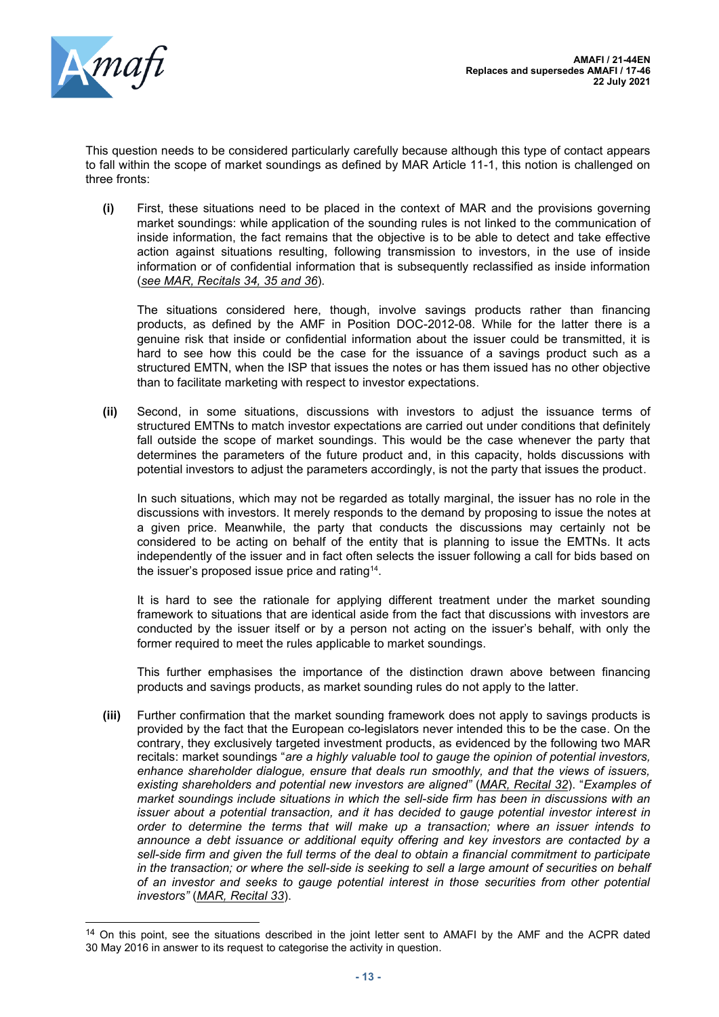

This question needs to be considered particularly carefully because although this type of contact appears to fall within the scope of market soundings as defined by MAR Article 11-1, this notion is challenged on three fronts:

**(i)** First, these situations need to be placed in the context of MAR and the provisions governing market soundings: while application of the sounding rules is not linked to the communication of inside information, the fact remains that the objective is to be able to detect and take effective action against situations resulting, following transmission to investors, in the use of inside information or of confidential information that is subsequently reclassified as inside information (*see MAR, Recitals 34, 35 and 36*).

The situations considered here, though, involve savings products rather than financing products, as defined by the AMF in Position DOC-2012-08. While for the latter there is a genuine risk that inside or confidential information about the issuer could be transmitted, it is hard to see how this could be the case for the issuance of a savings product such as a structured EMTN, when the ISP that issues the notes or has them issued has no other objective than to facilitate marketing with respect to investor expectations.

**(ii)** Second, in some situations, discussions with investors to adjust the issuance terms of structured EMTNs to match investor expectations are carried out under conditions that definitely fall outside the scope of market soundings. This would be the case whenever the party that determines the parameters of the future product and, in this capacity, holds discussions with potential investors to adjust the parameters accordingly, is not the party that issues the product.

In such situations, which may not be regarded as totally marginal, the issuer has no role in the discussions with investors. It merely responds to the demand by proposing to issue the notes at a given price. Meanwhile, the party that conducts the discussions may certainly not be considered to be acting on behalf of the entity that is planning to issue the EMTNs. It acts independently of the issuer and in fact often selects the issuer following a call for bids based on the issuer's proposed issue price and rating<sup>14</sup>.

It is hard to see the rationale for applying different treatment under the market sounding framework to situations that are identical aside from the fact that discussions with investors are conducted by the issuer itself or by a person not acting on the issuer's behalf, with only the former required to meet the rules applicable to market soundings.

This further emphasises the importance of the distinction drawn above between financing products and savings products, as market sounding rules do not apply to the latter.

**(iii)** Further confirmation that the market sounding framework does not apply to savings products is provided by the fact that the European co-legislators never intended this to be the case. On the contrary, they exclusively targeted investment products, as evidenced by the following two MAR recitals: market soundings "*are a highly valuable tool to gauge the opinion of potential investors, enhance shareholder dialogue, ensure that deals run smoothly, and that the views of issuers, existing shareholders and potential new investors are aligned"* (*MAR, Recital 32*). "*Examples of market soundings include situations in which the sell-side firm has been in discussions with an issuer about a potential transaction, and it has decided to gauge potential investor interest in order to determine the terms that will make up a transaction; where an issuer intends to announce a debt issuance or additional equity offering and key investors are contacted by a*  sell-side firm and given the full terms of the deal to obtain a financial commitment to participate *in the transaction; or where the sell-side is seeking to sell a large amount of securities on behalf of an investor and seeks to gauge potential interest in those securities from other potential investors"* (*MAR, Recital 33*).

<sup>&</sup>lt;sup>14</sup> On this point, see the situations described in the joint letter sent to AMAFI by the AMF and the ACPR dated 30 May 2016 in answer to its request to categorise the activity in question.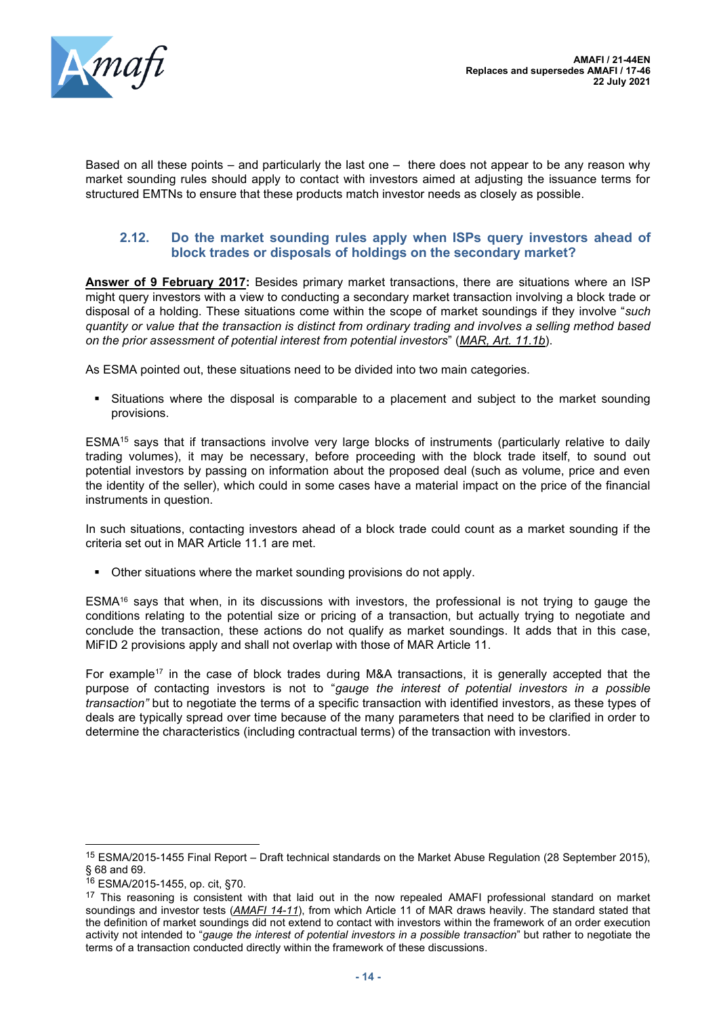

Based on all these points – and particularly the last one  $-$  there does not appear to be any reason why market sounding rules should apply to contact with investors aimed at adjusting the issuance terms for structured EMTNs to ensure that these products match investor needs as closely as possible.

### <span id="page-13-0"></span>**2.12. Do the market sounding rules apply when ISPs query investors ahead of block trades or disposals of holdings on the secondary market?**

**Answer of 9 February 2017:** Besides primary market transactions, there are situations where an ISP might query investors with a view to conducting a secondary market transaction involving a block trade or disposal of a holding. These situations come within the scope of market soundings if they involve "*such quantity or value that the transaction is distinct from ordinary trading and involves a selling method based on the prior assessment of potential interest from potential investors*" (*MAR, Art. 11.1b*).

As ESMA pointed out, these situations need to be divided into two main categories.

**•** Situations where the disposal is comparable to a placement and subject to the market sounding provisions.

ESMA<sup>15</sup> says that if transactions involve very large blocks of instruments (particularly relative to daily trading volumes), it may be necessary, before proceeding with the block trade itself, to sound out potential investors by passing on information about the proposed deal (such as volume, price and even the identity of the seller), which could in some cases have a material impact on the price of the financial instruments in question.

In such situations, contacting investors ahead of a block trade could count as a market sounding if the criteria set out in MAR Article 11.1 are met.

■ Other situations where the market sounding provisions do not apply.

ESMA<sup>16</sup> says that when, in its discussions with investors, the professional is not trying to gauge the conditions relating to the potential size or pricing of a transaction, but actually trying to negotiate and conclude the transaction, these actions do not qualify as market soundings. It adds that in this case, MiFID 2 provisions apply and shall not overlap with those of MAR Article 11.

For example<sup>17</sup> in the case of block trades during M&A transactions, it is generally accepted that the purpose of contacting investors is not to "*gauge the interest of potential investors in a possible transaction"* but to negotiate the terms of a specific transaction with identified investors, as these types of deals are typically spread over time because of the many parameters that need to be clarified in order to determine the characteristics (including contractual terms) of the transaction with investors.

<span id="page-13-1"></span><sup>15</sup> ESMA/2015-1455 Final Report – Draft technical standards on the Market Abuse Regulation (28 September 2015), § 68 and 69.

<sup>16</sup> ESMA/2015-1455, op. cit, §70.

<sup>&</sup>lt;sup>17</sup> This reasoning is consistent with that laid out in the now repealed AMAFI professional standard on market soundings and investor tests (*AMAFI 14-11*), from which Article 11 of MAR draws heavily. The standard stated that the definition of market soundings did not extend to contact with investors within the framework of an order execution activity not intended to "*gauge the interest of potential investors in a possible transaction*" but rather to negotiate the terms of a transaction conducted directly within the framework of these discussions.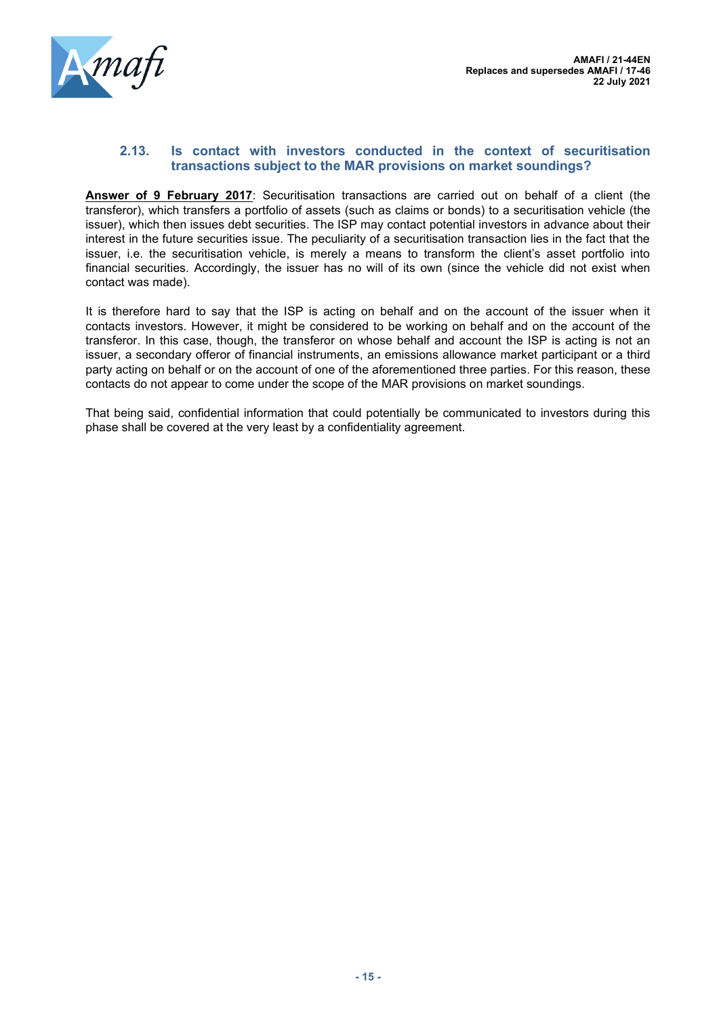

#### **2.13. Is contact with investors conducted in the context of securitisation transactions subject to the MAR provisions on market soundings?**

**Answer of 9 February 2017**: Securitisation transactions are carried out on behalf of a client (the transferor), which transfers a portfolio of assets (such as claims or bonds) to a securitisation vehicle (the issuer), which then issues debt securities. The ISP may contact potential investors in advance about their interest in the future securities issue. The peculiarity of a securitisation transaction lies in the fact that the issuer, i.e. the securitisation vehicle, is merely a means to transform the client's asset portfolio into financial securities. Accordingly, the issuer has no will of its own (since the vehicle did not exist when contact was made).

It is therefore hard to say that the ISP is acting on behalf and on the account of the issuer when it contacts investors. However, it might be considered to be working on behalf and on the account of the transferor. In this case, though, the transferor on whose behalf and account the ISP is acting is not an issuer, a secondary offeror of financial instruments, an emissions allowance market participant or a third party acting on behalf or on the account of one of the aforementioned three parties. For this reason, these contacts do not appear to come under the scope of the MAR provisions on market soundings.

That being said, confidential information that could potentially be communicated to investors during this phase shall be covered at the very least by a confidentiality agreement.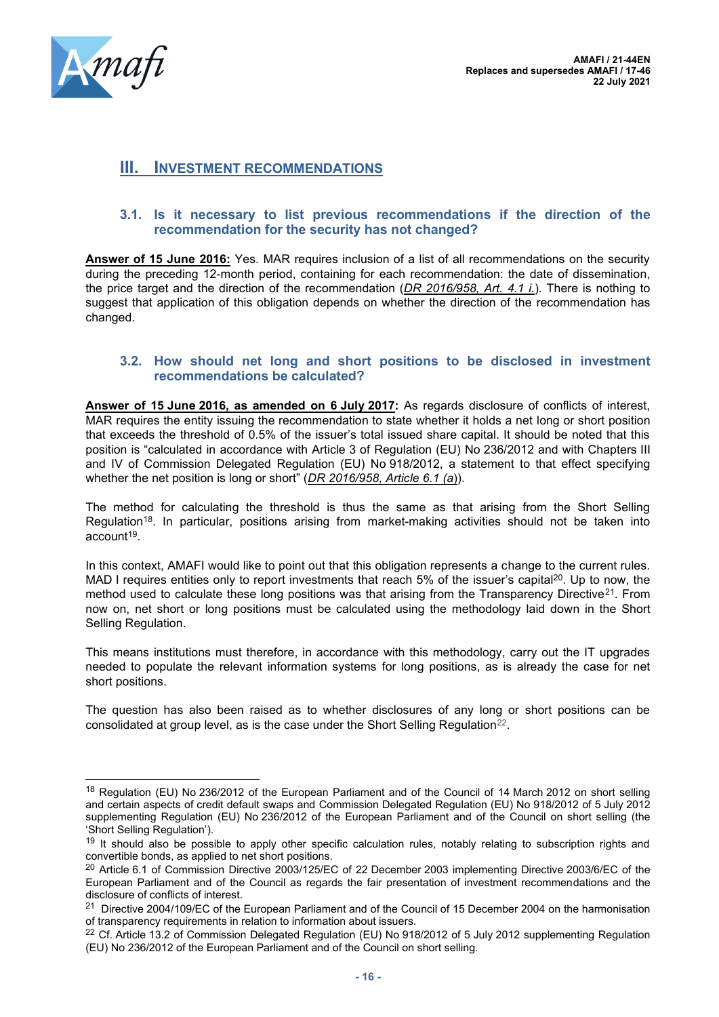

# <span id="page-15-0"></span>**III. INVESTMENT RECOMMENDATIONS**

#### <span id="page-15-1"></span>**3.1. Is it necessary to list previous recommendations if the direction of the recommendation for the security has not changed?**

**Answer of 15 June 2016:** Yes. MAR requires inclusion of a list of all recommendations on the security during the preceding 12-month period, containing for each recommendation: the date of dissemination, the price target and the direction of the recommendation (*DR 2016/958, Art. 4.1 i.*). There is nothing to suggest that application of this obligation depends on whether the direction of the recommendation has changed.

#### <span id="page-15-2"></span>**3.2. How should net long and short positions to be disclosed in investment recommendations be calculated?**

**Answer of 15 June 2016, as amended on 6 July 2017:** As regards disclosure of conflicts of interest, MAR requires the entity issuing the recommendation to state whether it holds a net long or short position that exceeds the threshold of 0.5% of the issuer's total issued share capital. It should be noted that this position is "calculated in accordance with Article 3 of Regulation (EU) No 236/2012 and with Chapters III and IV of Commission Delegated Regulation (EU) No 918/2012, a statement to that effect specifying whether the net position is long or short" (*DR 2016/958, Article 6.1 (a*)).

The method for calculating the threshold is thus the same as that arising from the Short Selling Regulation<sup>18</sup>. In particular, positions arising from market-making activities should not be taken into account<sup>19</sup>.

In this context, AMAFI would like to point out that this obligation represents a change to the current rules. MAD I requires entities only to report investments that reach 5% of the issuer's capital<sup>20</sup>. Up to now, the method used to calculate these long positions was that arising from the Transparency Directive<sup>21</sup>. From now on, net short or long positions must be calculated using the methodology laid down in the Short Selling Regulation.

This means institutions must therefore, in accordance with this methodology, carry out the IT upgrades needed to populate the relevant information systems for long positions, as is already the case for net short positions.

The question has also been raised as to whether disclosures of any long or short positions can be consolidated at group level, as is the case under the Short Selling Regulation<sup>22</sup>.

<sup>&</sup>lt;sup>18</sup> Regulation (EU) No 236/2012 of the European Parliament and of the Council of 14 March 2012 on short selling and certain aspects of credit default swaps and Commission Delegated Regulation (EU) No 918/2012 of 5 July 2012 supplementing Regulation (EU) No 236/2012 of the European Parliament and of the Council on short selling (the 'Short Selling Regulation').

<sup>&</sup>lt;sup>19</sup> It should also be possible to apply other specific calculation rules, notably relating to subscription rights and convertible bonds, as applied to net short positions.

<sup>&</sup>lt;sup>20</sup> Article 6.1 of Commission Directive 2003/125/EC of 22 December 2003 implementing Directive 2003/6/EC of the European Parliament and of the Council as regards the fair presentation of investment recommendations and the disclosure of conflicts of interest.

<sup>&</sup>lt;sup>21</sup> Directive 2004/109/EC of the European Parliament and of the Council of 15 December 2004 on the harmonisation of transparency requirements in relation to information about issuers.

<sup>&</sup>lt;sup>22</sup> Cf. Article 13.2 of Commission Delegated Regulation (EU) No 918/2012 of 5 July 2012 supplementing Regulation (EU) No 236/2012 of the European Parliament and of the Council on short selling.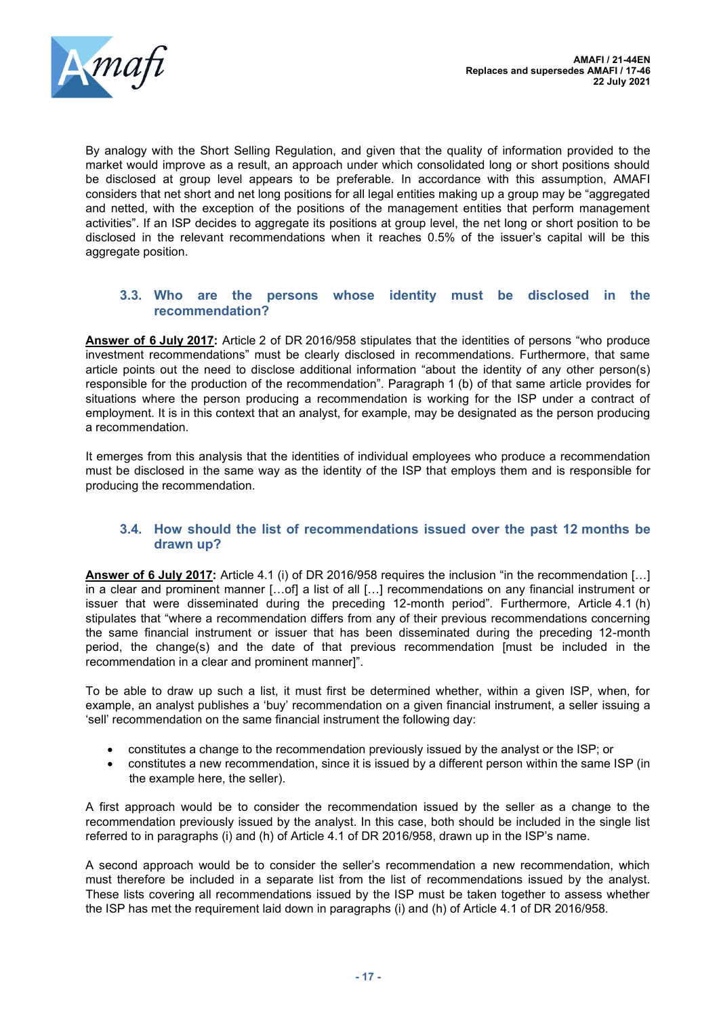

By analogy with the Short Selling Regulation, and given that the quality of information provided to the market would improve as a result, an approach under which consolidated long or short positions should be disclosed at group level appears to be preferable. In accordance with this assumption, AMAFI considers that net short and net long positions for all legal entities making up a group may be "aggregated and netted, with the exception of the positions of the management entities that perform management activities". If an ISP decides to aggregate its positions at group level, the net long or short position to be disclosed in the relevant recommendations when it reaches 0.5% of the issuer's capital will be this aggregate position.

## <span id="page-16-0"></span>**3.3. Who are the persons whose identity must be disclosed in the recommendation?**

**Answer of 6 July 2017:** Article 2 of DR 2016/958 stipulates that the identities of persons "who produce investment recommendations" must be clearly disclosed in recommendations. Furthermore, that same article points out the need to disclose additional information "about the identity of any other person(s) responsible for the production of the recommendation". Paragraph 1 (b) of that same article provides for situations where the person producing a recommendation is working for the ISP under a contract of employment. It is in this context that an analyst, for example, may be designated as the person producing a recommendation.

It emerges from this analysis that the identities of individual employees who produce a recommendation must be disclosed in the same way as the identity of the ISP that employs them and is responsible for producing the recommendation.

#### <span id="page-16-1"></span>**3.4. How should the list of recommendations issued over the past 12 months be drawn up?**

**Answer of 6 July 2017:** Article 4.1 (i) of DR 2016/958 requires the inclusion "in the recommendation […] in a clear and prominent manner […of] a list of all […] recommendations on any financial instrument or issuer that were disseminated during the preceding 12-month period". Furthermore, Article 4.1 (h) stipulates that "where a recommendation differs from any of their previous recommendations concerning the same financial instrument or issuer that has been disseminated during the preceding 12-month period, the change(s) and the date of that previous recommendation [must be included in the recommendation in a clear and prominent manner]".

To be able to draw up such a list, it must first be determined whether, within a given ISP, when, for example, an analyst publishes a 'buy' recommendation on a given financial instrument, a seller issuing a 'sell' recommendation on the same financial instrument the following day:

- constitutes a change to the recommendation previously issued by the analyst or the ISP; or
- constitutes a new recommendation, since it is issued by a different person within the same ISP (in the example here, the seller).

A first approach would be to consider the recommendation issued by the seller as a change to the recommendation previously issued by the analyst. In this case, both should be included in the single list referred to in paragraphs (i) and (h) of Article 4.1 of DR 2016/958, drawn up in the ISP's name.

A second approach would be to consider the seller's recommendation a new recommendation, which must therefore be included in a separate list from the list of recommendations issued by the analyst. These lists covering all recommendations issued by the ISP must be taken together to assess whether the ISP has met the requirement laid down in paragraphs (i) and (h) of Article 4.1 of DR 2016/958.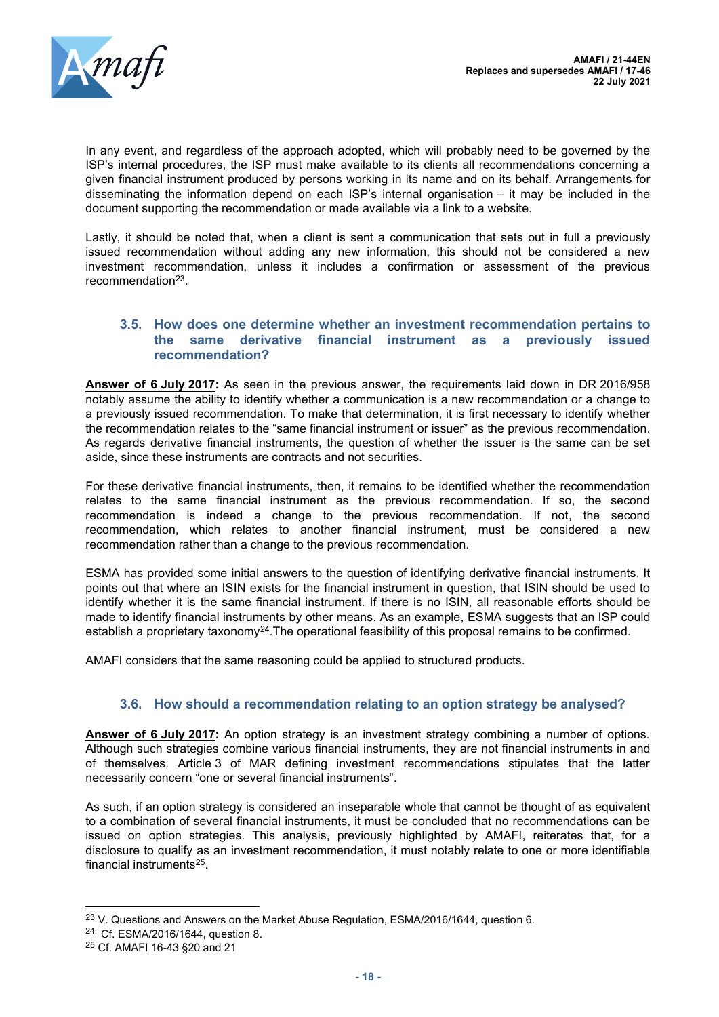

In any event, and regardless of the approach adopted, which will probably need to be governed by the ISP's internal procedures, the ISP must make available to its clients all recommendations concerning a given financial instrument produced by persons working in its name and on its behalf. Arrangements for disseminating the information depend on each ISP's internal organisation – it may be included in the document supporting the recommendation or made available via a link to a website.

Lastly, it should be noted that, when a client is sent a communication that sets out in full a previously issued recommendation without adding any new information, this should not be considered a new investment recommendation, unless it includes a confirmation or assessment of the previous recommendation<sup>23</sup>.

#### <span id="page-17-0"></span>**3.5. How does one determine whether an investment recommendation pertains to the same derivative financial instrument as a previously issued recommendation?**

**Answer of 6 July 2017:** As seen in the previous answer, the requirements laid down in DR 2016/958 notably assume the ability to identify whether a communication is a new recommendation or a change to a previously issued recommendation. To make that determination, it is first necessary to identify whether the recommendation relates to the "same financial instrument or issuer" as the previous recommendation. As regards derivative financial instruments, the question of whether the issuer is the same can be set aside, since these instruments are contracts and not securities.

For these derivative financial instruments, then, it remains to be identified whether the recommendation relates to the same financial instrument as the previous recommendation. If so, the second recommendation is indeed a change to the previous recommendation. If not, the second recommendation, which relates to another financial instrument, must be considered a new recommendation rather than a change to the previous recommendation.

ESMA has provided some initial answers to the question of identifying derivative financial instruments. It points out that where an ISIN exists for the financial instrument in question, that ISIN should be used to identify whether it is the same financial instrument. If there is no ISIN, all reasonable efforts should be made to identify financial instruments by other means. As an example, ESMA suggests that an ISP could establish a proprietary taxonomy<sup>24</sup>. The operational feasibility of this proposal remains to be confirmed.

AMAFI considers that the same reasoning could be applied to structured products.

# **3.6. How should a recommendation relating to an option strategy be analysed?**

<span id="page-17-1"></span>**Answer of 6 July 2017:** An option strategy is an investment strategy combining a number of options. Although such strategies combine various financial instruments, they are not financial instruments in and of themselves. Article 3 of MAR defining investment recommendations stipulates that the latter necessarily concern "one or several financial instruments".

As such, if an option strategy is considered an inseparable whole that cannot be thought of as equivalent to a combination of several financial instruments, it must be concluded that no recommendations can be issued on option strategies. This analysis, previously highlighted by AMAFI, reiterates that, for a disclosure to qualify as an investment recommendation, it must notably relate to one or more identifiable financial instruments<sup>25</sup> .

<sup>&</sup>lt;sup>23</sup> V. Questions and Answers on the Market Abuse Regulation, ESMA/2016/1644, question 6.

<sup>&</sup>lt;sup>24</sup> Cf. ESMA/2016/1644, question 8.

<sup>25</sup> Cf. AMAFI 16-43 §20 and 21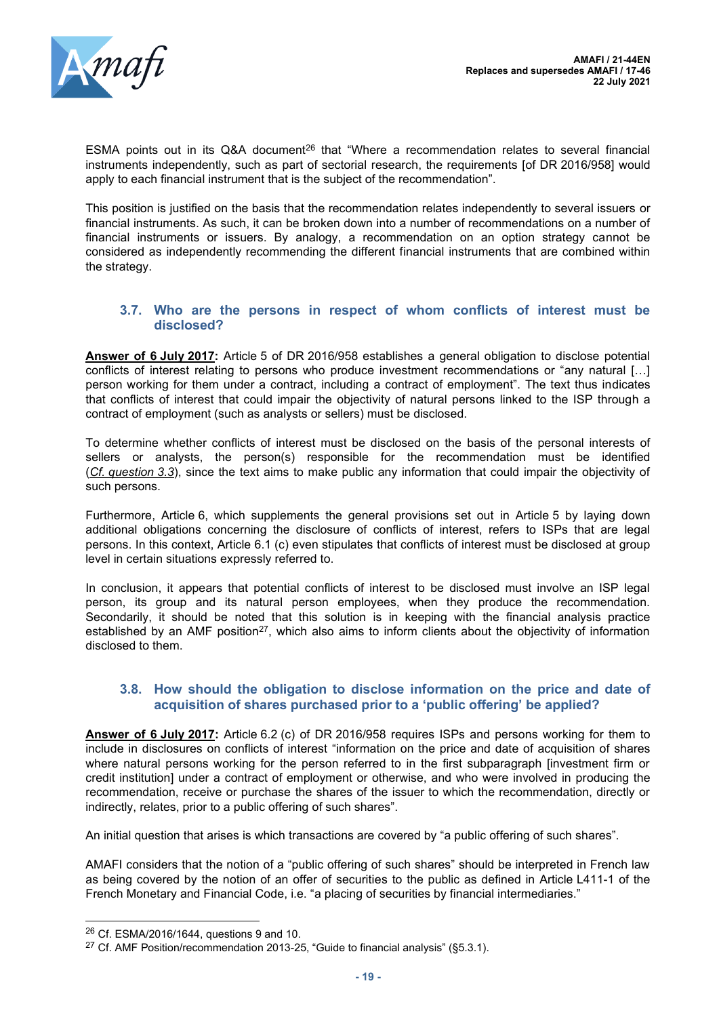

ESMA points out in its Q&A document<sup>26</sup> that "Where a recommendation relates to several financial instruments independently, such as part of sectorial research, the requirements [of DR 2016/958] would apply to each financial instrument that is the subject of the recommendation".

This position is justified on the basis that the recommendation relates independently to several issuers or financial instruments. As such, it can be broken down into a number of recommendations on a number of financial instruments or issuers. By analogy, a recommendation on an option strategy cannot be considered as independently recommending the different financial instruments that are combined within the strategy.

#### <span id="page-18-0"></span>**3.7. Who are the persons in respect of whom conflicts of interest must be disclosed?**

**Answer of 6 July 2017:** Article 5 of DR 2016/958 establishes a general obligation to disclose potential conflicts of interest relating to persons who produce investment recommendations or "any natural […] person working for them under a contract, including a contract of employment". The text thus indicates that conflicts of interest that could impair the objectivity of natural persons linked to the ISP through a contract of employment (such as analysts or sellers) must be disclosed.

To determine whether conflicts of interest must be disclosed on the basis of the personal interests of sellers or analysts, the person(s) responsible for the recommendation must be identified (*Cf. question 3.3*), since the text aims to make public any information that could impair the objectivity of such persons.

Furthermore, Article 6, which supplements the general provisions set out in Article 5 by laying down additional obligations concerning the disclosure of conflicts of interest, refers to ISPs that are legal persons. In this context, Article 6.1 (c) even stipulates that conflicts of interest must be disclosed at group level in certain situations expressly referred to.

In conclusion, it appears that potential conflicts of interest to be disclosed must involve an ISP legal person, its group and its natural person employees, when they produce the recommendation. Secondarily, it should be noted that this solution is in keeping with the financial analysis practice established by an AMF position<sup>27</sup>, which also aims to inform clients about the objectivity of information disclosed to them.

#### <span id="page-18-1"></span>**3.8. How should the obligation to disclose information on the price and date of acquisition of shares purchased prior to a 'public offering' be applied?**

**Answer of 6 July 2017:** Article 6.2 (c) of DR 2016/958 requires ISPs and persons working for them to include in disclosures on conflicts of interest "information on the price and date of acquisition of shares where natural persons working for the person referred to in the first subparagraph [investment firm or credit institution] under a contract of employment or otherwise, and who were involved in producing the recommendation, receive or purchase the shares of the issuer to which the recommendation, directly or indirectly, relates, prior to a public offering of such shares".

An initial question that arises is which transactions are covered by "a public offering of such shares".

AMAFI considers that the notion of a "public offering of such shares" should be interpreted in French law as being covered by the notion of an offer of securities to the public as defined in Article L411-1 of the French Monetary and Financial Code, i.e. "a placing of securities by financial intermediaries."

<sup>26</sup> Cf. ESMA/2016/1644, questions 9 and 10.

<sup>27</sup> Cf. AMF Position/recommendation 2013-25, "Guide to financial analysis" (§5.3.1).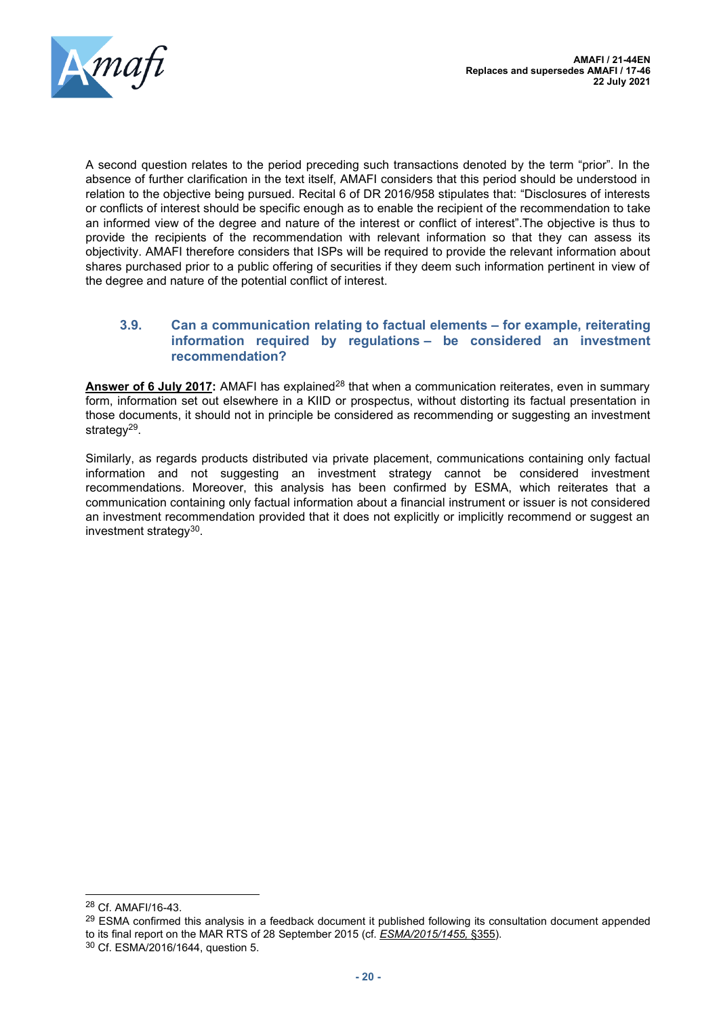

A second question relates to the period preceding such transactions denoted by the term "prior". In the absence of further clarification in the text itself, AMAFI considers that this period should be understood in relation to the objective being pursued. Recital 6 of DR 2016/958 stipulates that: "Disclosures of interests or conflicts of interest should be specific enough as to enable the recipient of the recommendation to take an informed view of the degree and nature of the interest or conflict of interest".The objective is thus to provide the recipients of the recommendation with relevant information so that they can assess its objectivity. AMAFI therefore considers that ISPs will be required to provide the relevant information about shares purchased prior to a public offering of securities if they deem such information pertinent in view of the degree and nature of the potential conflict of interest.

#### <span id="page-19-0"></span>**3.9. Can a communication relating to factual elements – for example, reiterating information required by regulations – be considered an investment recommendation?**

**Answer of 6 July 2017:** AMAFI has explained<sup>28</sup> that when a communication reiterates, even in summary form, information set out elsewhere in a KIID or prospectus, without distorting its factual presentation in those documents, it should not in principle be considered as recommending or suggesting an investment strategy<sup>29</sup>.

Similarly, as regards products distributed via private placement, communications containing only factual information and not suggesting an investment strategy cannot be considered investment recommendations. Moreover, this analysis has been confirmed by ESMA, which reiterates that a communication containing only factual information about a financial instrument or issuer is not considered an investment recommendation provided that it does not explicitly or implicitly recommend or suggest an investment strategy<sup>30</sup>.

<sup>28</sup> Cf. AMAFI/16-43.

<sup>&</sup>lt;sup>29</sup> ESMA confirmed this analysis in a feedback document it published following its consultation document appended to its final report on the MAR RTS of 28 September 2015 (cf. *ESMA/2015/1455,* §355).

<sup>30</sup> Cf. ESMA/2016/1644, question 5.